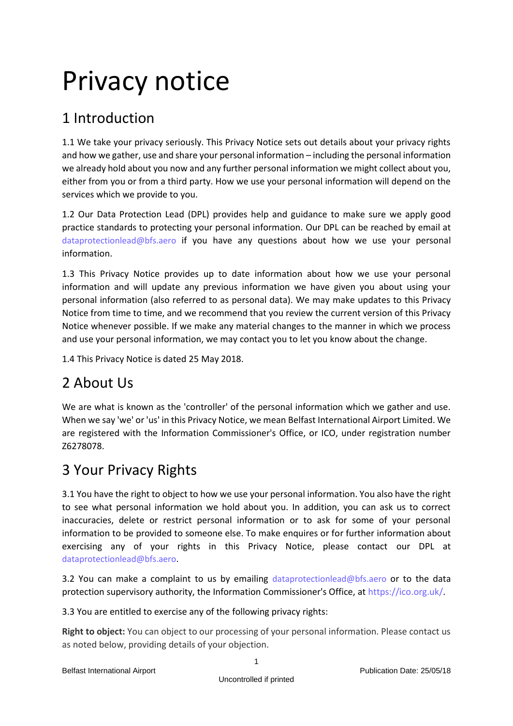# Privacy notice

## 1 Introduction

1.1 We take your privacy seriously. This Privacy Notice sets out details about your privacy rights and how we gather, use and share your personal information – including the personal information we already hold about you now and any further personal information we might collect about you, either from you or from a third party. How we use your personal information will depend on the services which we provide to you.

1.2 Our Data Protection Lead (DPL) provides help and guidance to make sure we apply good practice standards to protecting your personal information. Our DPL can be reached by email at [dataprotectionlead@bfs.aero](mailto:dataprotectionlead@bfs.aero) if you have any questions about how we use your personal information.

1.3 This Privacy Notice provides up to date information about how we use your personal information and will update any previous information we have given you about using your personal information (also referred to as personal data). We may make updates to this Privacy Notice from time to time, and we recommend that you review the current version of this Privacy Notice whenever possible. If we make any material changes to the manner in which we process and use your personal information, we may contact you to let you know about the change.

1.4 This Privacy Notice is dated 25 May 2018.

# 2 About Us

We are what is known as the 'controller' of the personal information which we gather and use. When we say 'we' or 'us' in this Privacy Notice, we mean Belfast International Airport Limited. We are registered with the Information Commissioner's Office, or ICO, under registration number Z6278078.

## 3 Your Privacy Rights

3.1 You have the right to object to how we use your personal information. You also have the right to see what personal information we hold about you. In addition, you can ask us to correct inaccuracies, delete or restrict personal information or to ask for some of your personal information to be provided to someone else. To make enquires or for further information about exercising any of your rights in this Privacy Notice, please contact our DPL at [dataprotectionlead@bfs.aero.](mailto:dataprotectionlead@bfs.aero)

3.2 You can make a complaint to us by emailing [dataprotectionlead@bfs.aero](mailto:dataprotectionlead@bfs.aero) or to the data protection supervisory authority, the Information Commissioner's Office, at [https://ico.org.uk/.](https://ico.org.uk/)

3.3 You are entitled to exercise any of the following privacy rights:

**Right to object:** You can object to our processing of your personal information. Please contact us as noted below, providing details of your objection.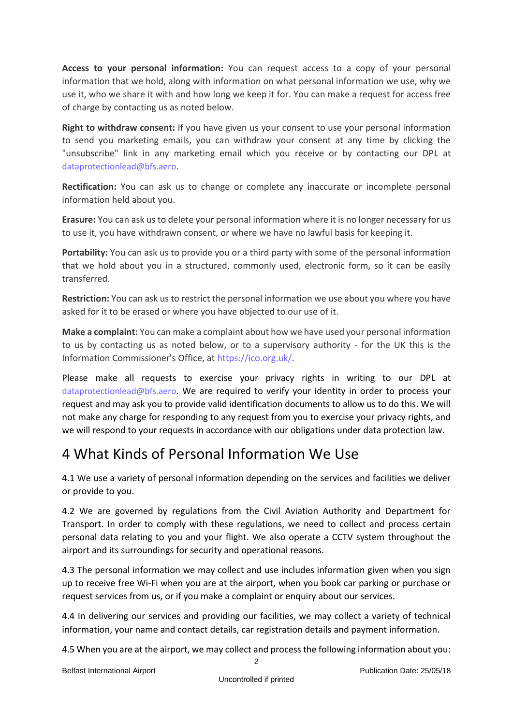**Access to your personal information:** You can request access to a copy of your personal information that we hold, along with information on what personal information we use, why we use it, who we share it with and how long we keep it for. You can make a request for access free of charge by contacting us as noted below.

**Right to withdraw consent:** If you have given us your consent to use your personal information to send you marketing emails, you can withdraw your consent at any time by clicking the "unsubscribe" link in any marketing email which you receive or by contacting our DPL at [dataprotectionlead@bfs.aero](mailto:dataprotectionlead@bfs.aero).

**Rectification:** You can ask us to change or complete any inaccurate or incomplete personal information held about you.

**Erasure:** You can ask us to delete your personal information where it is no longer necessary for us to use it, you have withdrawn consent, or where we have no lawful basis for keeping it.

**Portability:** You can ask us to provide you or a third party with some of the personal information that we hold about you in a structured, commonly used, electronic form, so it can be easily transferred.

**Restriction:** You can ask us to restrict the personal information we use about you where you have asked for it to be erased or where you have objected to our use of it.

**Make a complaint:** You can make a complaint about how we have used your personal information to us by contacting us as noted below, or to a supervisory authority - for the UK this is the Information Commissioner's Office, at [https://ico.org.uk/.](https://ico.org.uk/)

Please make all requests to exercise your privacy rights in writing to our DPL at [dataprotectionlead@bfs.aero](mailto:dataprotectionlead@bfs.aero). We are required to verify your identity in order to process your request and may ask you to provide valid identification documents to allow us to do this. We will not make any charge for responding to any request from you to exercise your privacy rights, and we will respond to your requests in accordance with our obligations under data protection law.

#### 4 What Kinds of Personal Information We Use

4.1 We use a variety of personal information depending on the services and facilities we deliver or provide to you.

4.2 We are governed by regulations from the Civil Aviation Authority and Department for Transport. In order to comply with these regulations, we need to collect and process certain personal data relating to you and your flight. We also operate a CCTV system throughout the airport and its surroundings for security and operational reasons.

4.3 The personal information we may collect and use includes information given when you sign up to receive free Wi-Fi when you are at the airport, when you book car parking or purchase or request services from us, or if you make a complaint or enquiry about our services.

4.4 In delivering our services and providing our facilities, we may collect a variety of technical information, your name and contact details, car registration details and payment information.

4.5 When you are at the airport, we may collect and process the following information about you: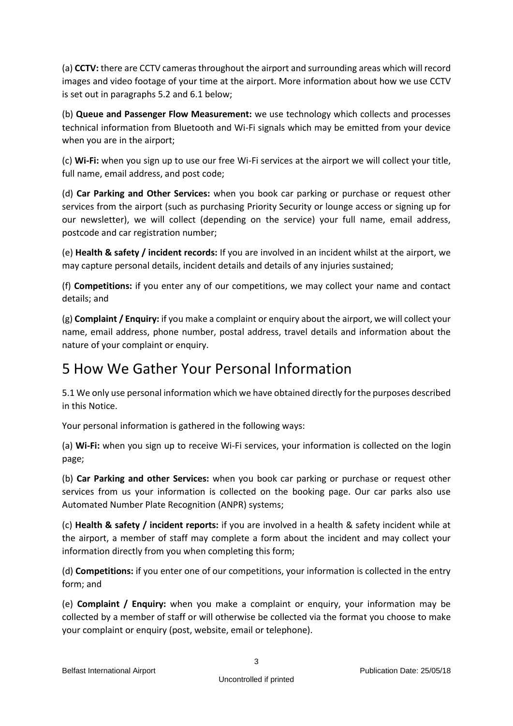(a) **CCTV:** there are CCTV cameras throughout the airport and surrounding areas which will record images and video footage of your time at the airport. More information about how we use CCTV is set out in paragraphs 5.2 and 6.1 below;

(b) **Queue and Passenger Flow Measurement:** we use technology which collects and processes technical information from Bluetooth and Wi-Fi signals which may be emitted from your device when you are in the airport;

(c) **Wi-Fi:** when you sign up to use our free Wi-Fi services at the airport we will collect your title, full name, email address, and post code;

(d) **Car Parking and Other Services:** when you book car parking or purchase or request other services from the airport (such as purchasing Priority Security or lounge access or signing up for our newsletter), we will collect (depending on the service) your full name, email address, postcode and car registration number;

(e) **Health & safety / incident records:** If you are involved in an incident whilst at the airport, we may capture personal details, incident details and details of any injuries sustained;

(f) **Competitions:** if you enter any of our competitions, we may collect your name and contact details; and

(g) **Complaint / Enquiry:** if you make a complaint or enquiry about the airport, we will collect your name, email address, phone number, postal address, travel details and information about the nature of your complaint or enquiry.

#### 5 How We Gather Your Personal Information

5.1 We only use personal information which we have obtained directly for the purposes described in this Notice.

Your personal information is gathered in the following ways:

(a) **Wi-Fi:** when you sign up to receive Wi-Fi services, your information is collected on the login page;

(b) **Car Parking and other Services:** when you book car parking or purchase or request other services from us your information is collected on the booking page. Our car parks also use Automated Number Plate Recognition (ANPR) systems;

(c) **Health & safety / incident reports:** if you are involved in a health & safety incident while at the airport, a member of staff may complete a form about the incident and may collect your information directly from you when completing this form;

(d) **Competitions:** if you enter one of our competitions, your information is collected in the entry form; and

(e) **Complaint / Enquiry:** when you make a complaint or enquiry, your information may be collected by a member of staff or will otherwise be collected via the format you choose to make your complaint or enquiry (post, website, email or telephone).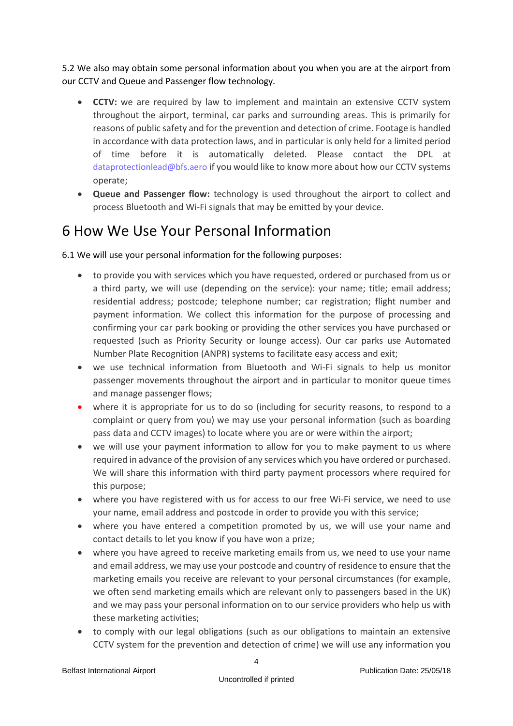5.2 We also may obtain some personal information about you when you are at the airport from our CCTV and Queue and Passenger flow technology.

- **CCTV:** we are required by law to implement and maintain an extensive CCTV system throughout the airport, terminal, car parks and surrounding areas. This is primarily for reasons of public safety and for the prevention and detection of crime. Footage is handled in accordance with data protection laws, and in particular is only held for a limited period of time before it is automatically deleted. Please contact the DPL at [dataprotectionlead@bfs.aero](mailto:dataprotectionlead@bfs.aero) if you would like to know more about how our CCTV systems operate;
- **Queue and Passenger flow:** technology is used throughout the airport to collect and process Bluetooth and Wi-Fi signals that may be emitted by your device.

#### 6 How We Use Your Personal Information

6.1 We will use your personal information for the following purposes:

- to provide you with services which you have requested, ordered or purchased from us or a third party, we will use (depending on the service): your name; title; email address; residential address; postcode; telephone number; car registration; flight number and payment information. We collect this information for the purpose of processing and confirming your car park booking or providing the other services you have purchased or requested (such as Priority Security or lounge access). Our car parks use Automated Number Plate Recognition (ANPR) systems to facilitate easy access and exit;
- we use technical information from Bluetooth and Wi-Fi signals to help us monitor passenger movements throughout the airport and in particular to monitor queue times and manage passenger flows;
- where it is appropriate for us to do so (including for security reasons, to respond to a complaint or query from you) we may use your personal information (such as boarding pass data and CCTV images) to locate where you are or were within the airport;
- we will use your payment information to allow for you to make payment to us where required in advance of the provision of any services which you have ordered or purchased. We will share this information with third party payment processors where required for this purpose;
- where you have registered with us for access to our free Wi-Fi service, we need to use your name, email address and postcode in order to provide you with this service;
- where you have entered a competition promoted by us, we will use your name and contact details to let you know if you have won a prize;
- where you have agreed to receive marketing emails from us, we need to use your name and email address, we may use your postcode and country of residence to ensure that the marketing emails you receive are relevant to your personal circumstances (for example, we often send marketing emails which are relevant only to passengers based in the UK) and we may pass your personal information on to our service providers who help us with these marketing activities;
- to comply with our legal obligations (such as our obligations to maintain an extensive CCTV system for the prevention and detection of crime) we will use any information you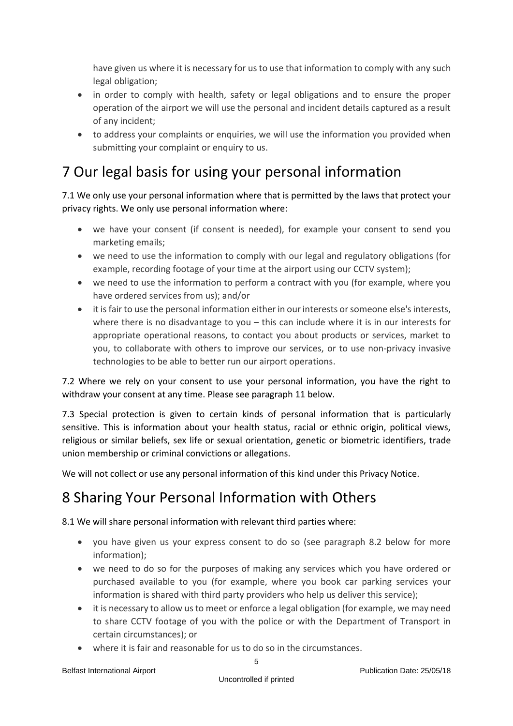have given us where it is necessary for us to use that information to comply with any such legal obligation;

- in order to comply with health, safety or legal obligations and to ensure the proper operation of the airport we will use the personal and incident details captured as a result of any incident;
- to address your complaints or enquiries, we will use the information you provided when submitting your complaint or enquiry to us.

#### 7 Our legal basis for using your personal information

7.1 We only use your personal information where that is permitted by the laws that protect your privacy rights. We only use personal information where:

- we have your consent (if consent is needed), for example your consent to send you marketing emails;
- we need to use the information to comply with our legal and regulatory obligations (for example, recording footage of your time at the airport using our CCTV system);
- we need to use the information to perform a contract with you (for example, where you have ordered services from us); and/or
- it is fair to use the personal information either in our interests or someone else's interests, where there is no disadvantage to you – this can include where it is in our interests for appropriate operational reasons, to contact you about products or services, market to you, to collaborate with others to improve our services, or to use non-privacy invasive technologies to be able to better run our airport operations.

7.2 Where we rely on your consent to use your personal information, you have the right to withdraw your consent at any time. Please see paragraph 11 below.

7.3 Special protection is given to certain kinds of personal information that is particularly sensitive. This is information about your health status, racial or ethnic origin, political views, religious or similar beliefs, sex life or sexual orientation, genetic or biometric identifiers, trade union membership or criminal convictions or allegations.

We will not collect or use any personal information of this kind under this Privacy Notice.

#### 8 Sharing Your Personal Information with Others

8.1 We will share personal information with relevant third parties where:

- you have given us your express consent to do so (see paragraph 8.2 below for more information);
- we need to do so for the purposes of making any services which you have ordered or purchased available to you (for example, where you book car parking services your information is shared with third party providers who help us deliver this service);
- it is necessary to allow us to meet or enforce a legal obligation (for example, we may need to share CCTV footage of you with the police or with the Department of Transport in certain circumstances); or
- where it is fair and reasonable for us to do so in the circumstances.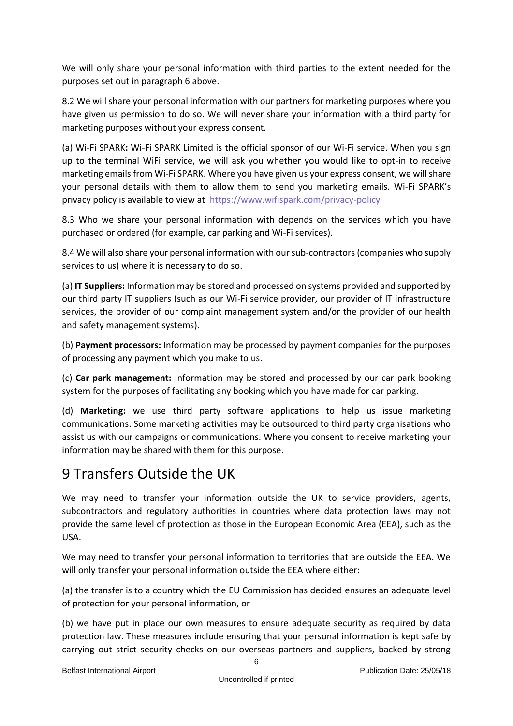We will only share your personal information with third parties to the extent needed for the purposes set out in paragraph 6 above.

8.2 We will share your personal information with our partners for marketing purposes where you have given us permission to do so. We will never share your information with a third party for marketing purposes without your express consent.

(a) Wi-Fi SPARK**:** Wi-Fi SPARK Limited is the official sponsor of our Wi-Fi service. When you sign up to the terminal WiFi service, we will ask you whether you would like to opt-in to receive marketing emails from Wi-Fi SPARK. Where you have given us your express consent, we will share your personal details with them to allow them to send you marketing emails. Wi-Fi SPARK's privacy policy is available to view at https://www.wifispark.com/privacy-policy

8.3 Who we share your personal information with depends on the services which you have purchased or ordered (for example, car parking and Wi-Fi services).

8.4 We will also share your personal information with our sub-contractors (companies who supply services to us) where it is necessary to do so.

(a) **IT Suppliers:** Information may be stored and processed on systems provided and supported by our third party IT suppliers (such as our Wi-Fi service provider, our provider of IT infrastructure services, the provider of our complaint management system and/or the provider of our health and safety management systems).

(b) **Payment processors:** Information may be processed by payment companies for the purposes of processing any payment which you make to us.

(c) **Car park management:** Information may be stored and processed by our car park booking system for the purposes of facilitating any booking which you have made for car parking.

(d) **Marketing:** we use third party software applications to help us issue marketing communications. Some marketing activities may be outsourced to third party organisations who assist us with our campaigns or communications. Where you consent to receive marketing your information may be shared with them for this purpose.

#### 9 Transfers Outside the UK

We may need to transfer your information outside the UK to service providers, agents, subcontractors and regulatory authorities in countries where data protection laws may not provide the same level of protection as those in the European Economic Area (EEA), such as the USA.

We may need to transfer your personal information to territories that are outside the EEA. We will only transfer your personal information outside the EEA where either:

(a) the transfer is to a country which the EU Commission has decided ensures an adequate level of protection for your personal information, or

(b) we have put in place our own measures to ensure adequate security as required by data protection law. These measures include ensuring that your personal information is kept safe by carrying out strict security checks on our overseas partners and suppliers, backed by strong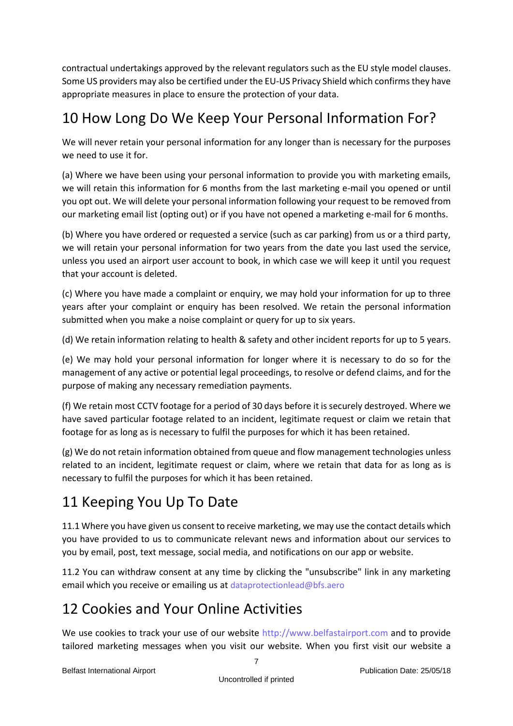contractual undertakings approved by the relevant regulators such as the EU style model clauses. Some US providers may also be certified under the EU-US Privacy Shield which confirms they have appropriate measures in place to ensure the protection of your data.

#### 10 How Long Do We Keep Your Personal Information For?

We will never retain your personal information for any longer than is necessary for the purposes we need to use it for.

(a) Where we have been using your personal information to provide you with marketing emails, we will retain this information for 6 months from the last marketing e-mail you opened or until you opt out. We will delete your personal information following your request to be removed from our marketing email list (opting out) or if you have not opened a marketing e-mail for 6 months.

(b) Where you have ordered or requested a service (such as car parking) from us or a third party, we will retain your personal information for two years from the date you last used the service, unless you used an airport user account to book, in which case we will keep it until you request that your account is deleted.

(c) Where you have made a complaint or enquiry, we may hold your information for up to three years after your complaint or enquiry has been resolved. We retain the personal information submitted when you make a noise complaint or query for up to six years.

(d) We retain information relating to health & safety and other incident reports for up to 5 years.

(e) We may hold your personal information for longer where it is necessary to do so for the management of any active or potential legal proceedings, to resolve or defend claims, and for the purpose of making any necessary remediation payments.

(f) We retain most CCTV footage for a period of 30 days before it is securely destroyed. Where we have saved particular footage related to an incident, legitimate request or claim we retain that footage for as long as is necessary to fulfil the purposes for which it has been retained.

(g) We do not retain information obtained from queue and flow management technologies unless related to an incident, legitimate request or claim, where we retain that data for as long as is necessary to fulfil the purposes for which it has been retained.

#### 11 Keeping You Up To Date

11.1 Where you have given us consent to receive marketing, we may use the contact details which you have provided to us to communicate relevant news and information about our services to you by email, post, text message, social media, and notifications on our app or website.

11.2 You can withdraw consent at any time by clicking the "unsubscribe" link in any marketing email which you receive or emailing us at [dataprotectionlead@bfs.aero](mailto:dataprotectionlead@bfs.aero)

#### 12 Cookies and Your Online Activities

We use cookies to track your use of our website [http://www.belfastairport.com](http://www.belfastairport.com/) and to provide tailored marketing messages when you visit our website. When you first visit our website a